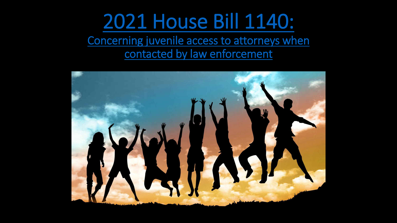### [2021 House Bill 1140:](https://www.washingtonvotes.org/2021-HB-1140)

Concerning juvenile access to attorneys when contacted by law enforcement

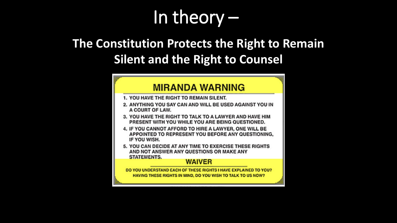### In theory –

#### **The Constitution Protects the Right to Remain Silent and the Right to Counsel**

#### **MIRANDA WARNING**

- 1. YOU HAVE THE RIGHT TO REMAIN SILENT.
- 2. ANYTHING YOU SAY CAN AND WILL BE USED AGAINST YOU IN A COURT OF LAW.
- 3. YOU HAVE THE RIGHT TO TALK TO A LAWYER AND HAVE HIM PRESENT WITH YOU WHILE YOU ARE BEING QUESTIONED.
- 4. IF YOU CANNOT AFFORD TO HIRE A LAWYER, ONE WILL BE APPOINTED TO REPRESENT YOU BEFORE ANY QUESTIONING. IF YOU WISH.
- 5. YOU CAN DECIDE AT ANY TIME TO EXERCISE THESE RIGHTS AND NOT ANSWER ANY QUESTIONS OR MAKE ANY
	- **STATEMENTS.**

#### **WAIVER**

DO YOU UNDERSTAND EACH OF THESE RIGHTS I HAVE EXPLAINED TO YOU? HAVING THESE RIGHTS IN MIND, DO YOU WISH TO TALK TO US NOW?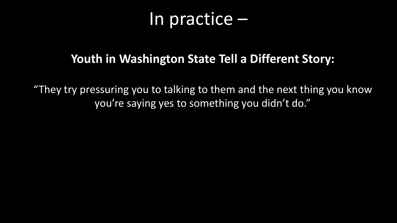### In practice –

#### **Youth in Washington State Tell a Different Story:**

"They try pressuring you to talking to them and the next thing you know you're saying yes to something you didn't do."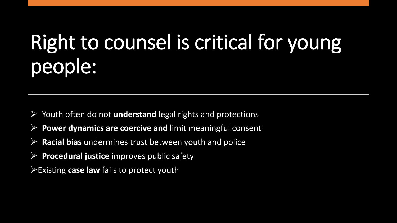## Right to counsel is critical for young people:

- Youth often do not **understand** legal rights and protections
- **Power dynamics are coercive and** limit meaningful consent
- **Racial bias** undermines trust between youth and police
- **Procedural justice** improves public safety
- Existing **case law** fails to protect youth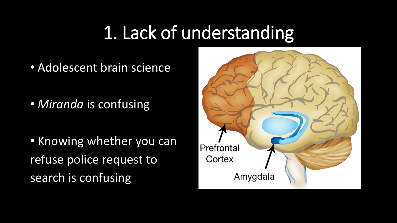### 1. Lack of understanding

• Adolescent brain science

• *Miranda* is confusing

• Knowing whether you can refuse police request to search is confusing

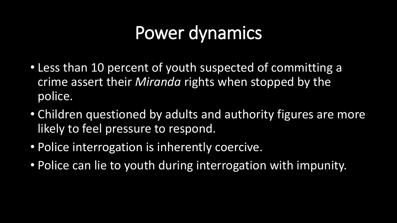### Power dynamics

- Less than 10 percent of youth suspected of committing a crime assert their *Miranda* rights when stopped by the police.
- Children questioned by adults and authority figures are more likely to feel pressure to respond.
- Police interrogation is inherently coercive.
- Police can lie to youth during interrogation with impunity.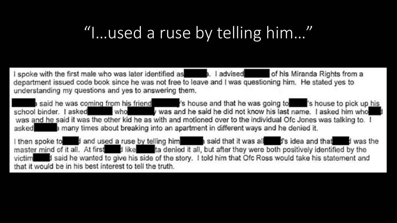### "I…used a ruse by telling him…"

I spoke with the first male who was later identified as **the set of the set of his Miranda Rights from a** department issued code book since he was not free to leave and I was questioning him. He stated yes to understanding my questions and yes to answering them.

a said he was coming from his friend states in the same and that he was going to state is house to pick up his school binder. I asked who who was and he said he did not know his last name. I asked him who was and he said it was the other kid he as with and motioned over to the individual Ofc Jones was talking to. I asked **the asset of the set of the set of the set of the set of the set of the set of the set of the denied it.** 

I then spoke to it and used a ruse by telling him is and that it was all it is idea and that it was the master mind of it all. At first dike the tander is all, but after they were both positively identified by the victiment and he wanted to give his side of the story. I told him that Ofc Ross would take his statement and that it would be in his best interest to tell the truth.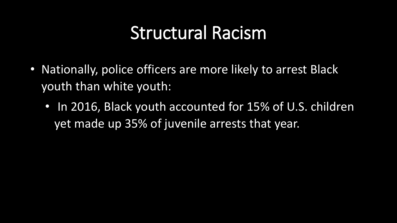### Structural Racism

- Nationally, police officers are more likely to arrest Black youth than white youth:
	- In 2016, Black youth accounted for 15% of U.S. children yet made up 35% of juvenile arrests that year.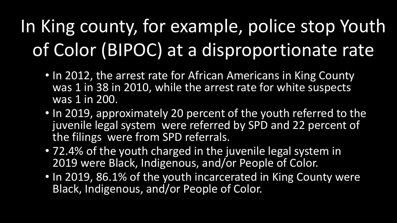### In King county, for example, police stop Youth of Color (BIPOC) at a disproportionate rate

- In 2012, the arrest rate for African Americans in King County was 1 in 38 in 2010, while the arrest rate for white suspects was 1 in 200.
- In 2019, approximately 20 percent of the youth referred to the juvenile legal system were referred by SPD and 22 percent of the filings were from SPD referrals.
- 72.4% of the youth charged in the juvenile legal system in 2019 were Black, Indigenous, and/or People of Color.
- In 2019, 86.1% of the youth incarcerated in King County were Black, Indigenous, and/or People of Color.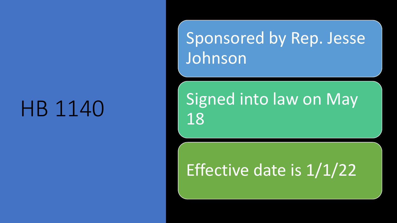## HB 1140

### Sponsored by Rep. Jesse Johnson

### Signed into law on May 18

### Effective date is 1/1/22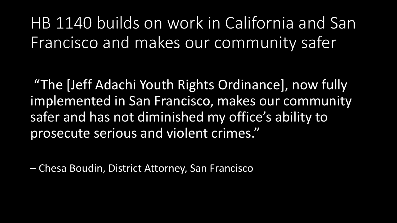HB 1140 builds on work in California and San Francisco and makes our community safer

"The [Jeff Adachi Youth Rights Ordinance], now fully implemented in San Francisco, makes our community safer and has not diminished my office's ability to prosecute serious and violent crimes."

– Chesa Boudin, District Attorney, San Francisco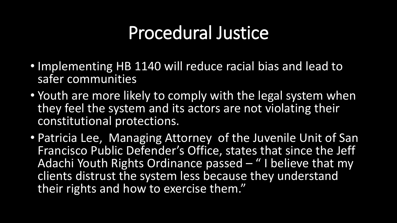### Procedural Justice

- Implementing HB 1140 will reduce racial bias and lead to safer communities
- Youth are more likely to comply with the legal system when they feel the system and its actors are not violating their constitutional protections.
- Patricia Lee, Managing Attorney of the Juvenile Unit of San Francisco Public Defender's Office, states that since the Jeff Adachi Youth Rights Ordinance passed – " I believe that my clients distrust the system less because they understand their rights and how to exercise them."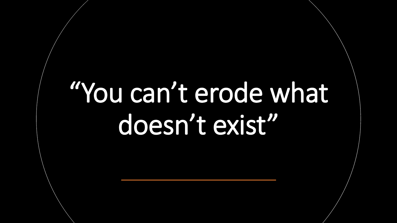# "You can't erode what doesn't exist"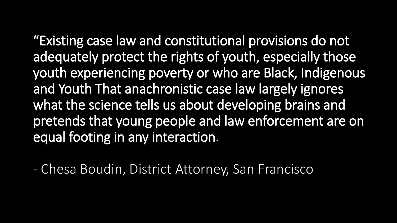"Existing case law and constitutional provisions do not adequately protect the rights of youth, especially those youth experiencing poverty or who are Black, Indigenous and Youth That anachronistic case law largely ignores what the science tells us about developing brains and pretends that young people and law enforcement are on equal footing in any interaction.

- Chesa Boudin, District Attorney, San Francisco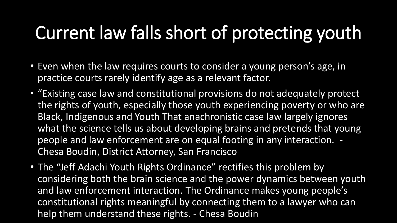### Current law falls short of protecting youth

- Even when the law requires courts to consider a young person's age, in practice courts rarely identify age as a relevant factor.
- "Existing case law and constitutional provisions do not adequately protect the rights of youth, especially those youth experiencing poverty or who are Black, Indigenous and Youth That anachronistic case law largely ignores what the science tells us about developing brains and pretends that young people and law enforcement are on equal footing in any interaction. - Chesa Boudin, District Attorney, San Francisco
- The "Jeff Adachi Youth Rights Ordinance" rectifies this problem by considering both the brain science and the power dynamics between youth and law enforcement interaction. The Ordinance makes young people's constitutional rights meaningful by connecting them to a lawyer who can help them understand these rights. - Chesa Boudin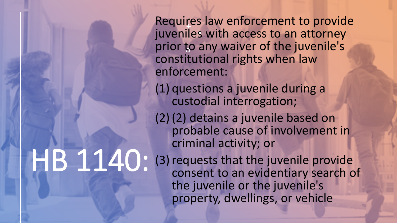Requires law enforcement to provide juveniles with access to an attorney prior to any waiver of the juvenile's constitutional rights when law enforcement:

(1) questions a juvenile during a custodial interrogation;

(2)(2) detains a juvenile based on probable cause of involvement in criminal activity; or

HB 1140: (3) requests that the juvenile provide consent to an evidentiary search of the juvenile or the juvenile's property, dwellings, or vehicle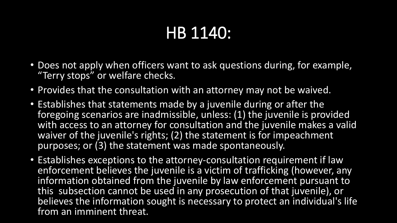### HB 1140:

- Does not apply when officers want to ask questions during, for example, "Terry stops" or welfare checks.
- Provides that the consultation with an attorney may not be waived.
- Establishes that statements made by a juvenile during or after the foregoing scenarios are inadmissible, unless: (1) the juvenile is provided with access to an attorney for consultation and the juvenile makes a valid waiver of the juvenile's rights; (2) the statement is for impeachment purposes; or (3) the statement was made spontaneously.
- Establishes exceptions to the attorney-consultation requirement if law enforcement believes the juvenile is a victim of trafficking (however, any information obtained from the juvenile by law enforcement pursuant to this subsection cannot be used in any prosecution of that juvenile), or believes the information sought is necessary to protect an individual's life from an imminent threat.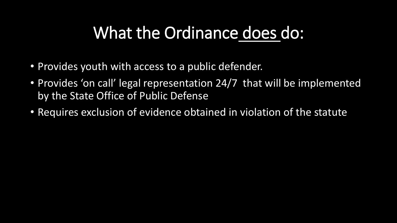### What the Ordinance does do:

- Provides youth with access to a public defender.
- Provides 'on call' legal representation 24/7 that will be implemented by the State Office of Public Defense
- Requires exclusion of evidence obtained in violation of the statute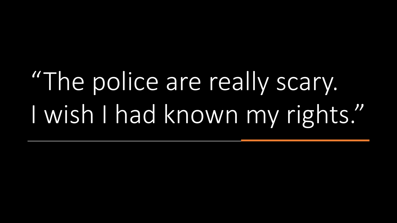# "The police are really scary. I wish I had known my rights."